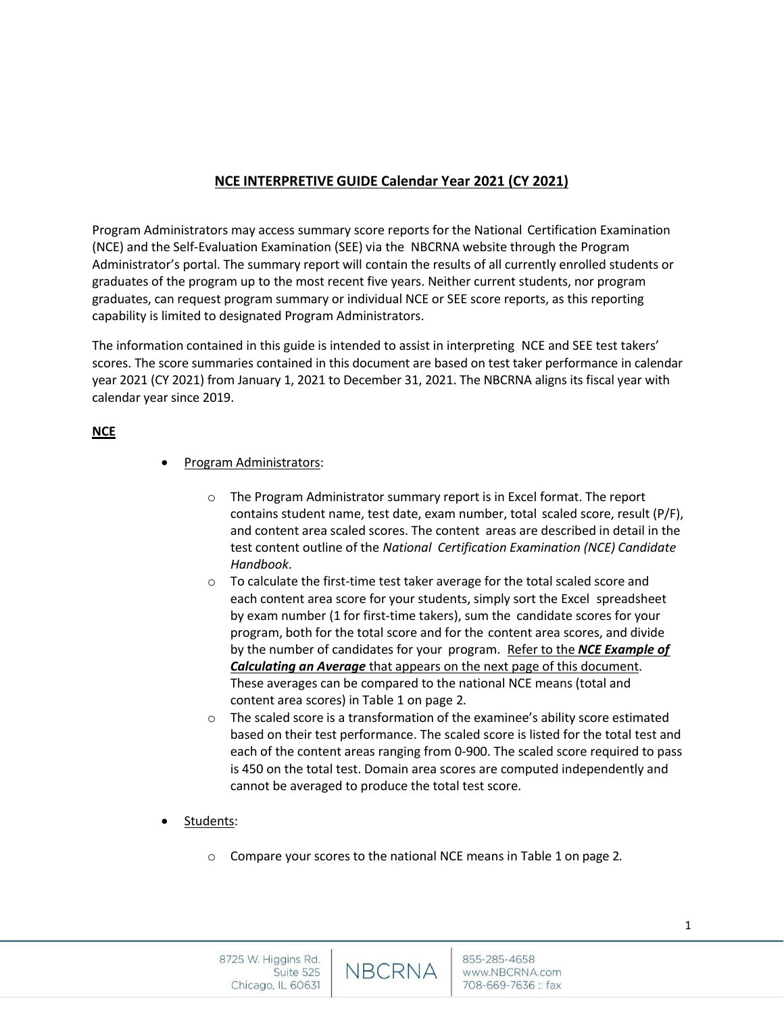# **NCE INTERPRETIVE GUIDE Calendar Year 2021 (CY 2021)**

Program Administrators may access summary score reports for the National Certification Examination (NCE) and the Self-Evaluation Examination (SEE) via the NBCRNA website through the Program Administrator's portal. The summary report will contain the results of all currently enrolled students or graduates of the program up to the most recent five years. Neither current students, nor program graduates, can request program summary or individual NCE or SEE score reports, as this reporting capability is limited to designated Program Administrators.

The information contained in this guide is intended to assist in interpreting NCE and SEE test takers' scores. The score summaries contained in this document are based on test taker performance in calendar year 2021 (CY 2021) from January 1, 2021 to December 31, 2021. The NBCRNA aligns its fiscal year with calendar year since 2019.

# **NCE**

- Program Administrators:
	- o The Program Administrator summary report is in Excel format. The report contains student name, test date, exam number, total scaled score, result (P/F), and content area scaled scores. The content areas are described in detail in the test content outline of the *National Certification Examination (NCE) Candidate Handbook*.
	- o To calculate the first-time test taker average for the total scaled score and each content area score for your students, simply sort the Excel spreadsheet by exam number (1 for first-time takers), sum the candidate scores for your program, both for the total score and for the content area scores, and divide by the number of candidates for your program. Refer to the *NCE Example of Calculating an Average* that appears on the next page of this document. These averages can be compared to the national NCE means (total and content area scores) in Table 1 on page 2*.*
	- o The scaled score is a transformation of the examinee's ability score estimated based on their test performance. The scaled score is listed for the total test and each of the content areas ranging from 0-900. The scaled score required to pass is 450 on the total test. Domain area scores are computed independently and cannot be averaged to produce the total test score.
- Students:
	- o Compare your scores to the national NCE means in Table 1 on page 2*.*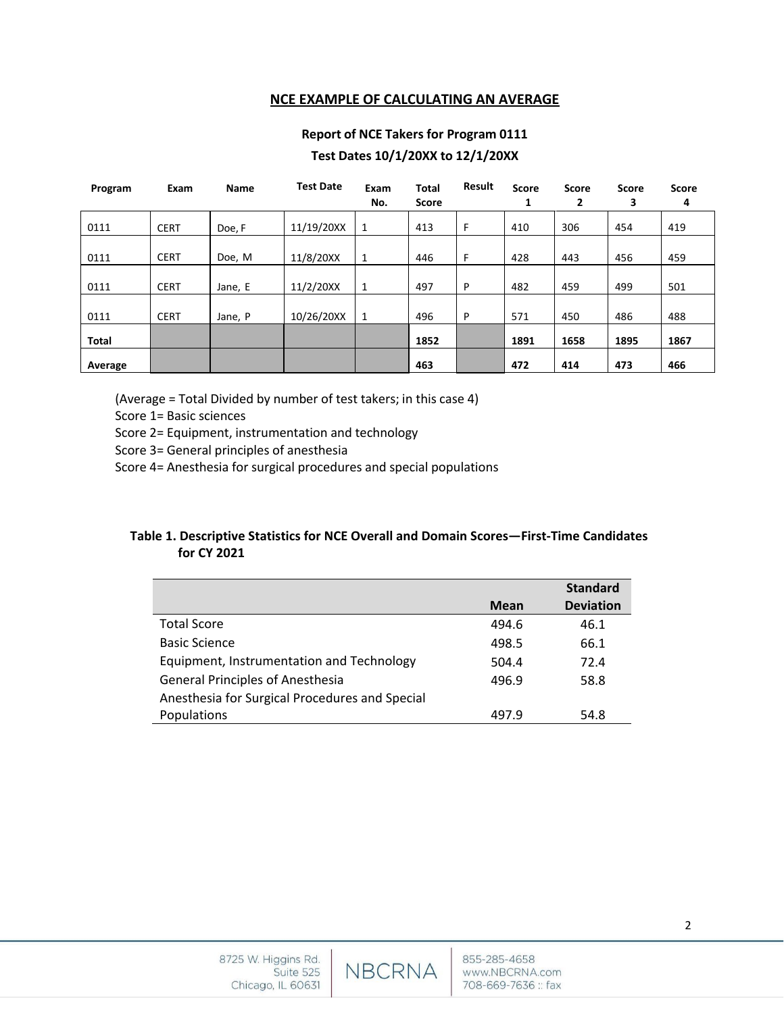## **NCE EXAMPLE OF CALCULATING AN AVERAGE**

# **Report of NCE Takers for Program 0111 Test Dates 10/1/20XX to 12/1/20XX**

| Program      | Exam        | Name    | <b>Test Date</b> | Exam<br>No.  | <b>Total</b><br>Score | Result | <b>Score</b><br>1 | Score<br>2 | Score<br>З | <b>Score</b><br>4 |
|--------------|-------------|---------|------------------|--------------|-----------------------|--------|-------------------|------------|------------|-------------------|
| 0111         | <b>CERT</b> | Doe, F  | 11/19/20XX       | 1            | 413                   | F      | 410               | 306        | 454        | 419               |
| 0111         | <b>CERT</b> | Doe, M  | 11/8/20XX        | 1            | 446                   | F      | 428               | 443        | 456        | 459               |
| 0111         | <b>CERT</b> | Jane, E | 11/2/20XX        | -1           | 497                   | P      | 482               | 459        | 499        | 501               |
| 0111         | <b>CERT</b> | Jane, P | 10/26/20XX       | $\mathbf{1}$ | 496                   | P      | 571               | 450        | 486        | 488               |
| <b>Total</b> |             |         |                  |              | 1852                  |        | 1891              | 1658       | 1895       | 1867              |
| Average      |             |         |                  |              | 463                   |        | 472               | 414        | 473        | 466               |

(Average = Total Divided by number of test takers; in this case 4)

Score 1= Basic sciences

Score 2= Equipment, instrumentation and technology

Score 3= General principles of anesthesia

Score 4= Anesthesia for surgical procedures and special populations

# **Table 1. Descriptive Statistics for NCE Overall and Domain Scores—First-Time Candidates for CY 2021**

|                                                |             | <b>Standard</b>  |
|------------------------------------------------|-------------|------------------|
|                                                | <b>Mean</b> | <b>Deviation</b> |
| <b>Total Score</b>                             | 494.6       | 46.1             |
| <b>Basic Science</b>                           | 498.5       | 66.1             |
| Equipment, Instrumentation and Technology      | 504.4       | 72.4             |
| <b>General Principles of Anesthesia</b>        | 496.9       | 58.8             |
| Anesthesia for Surgical Procedures and Special |             |                  |
| Populations                                    | 497.9       | 54.8             |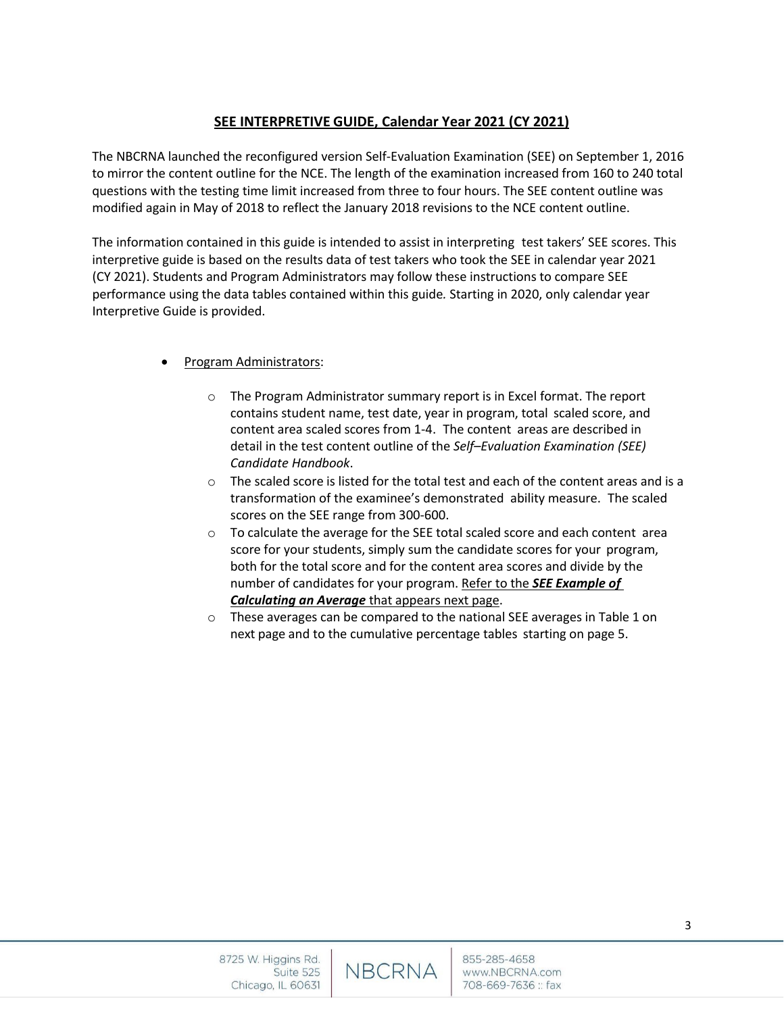# **SEE INTERPRETIVE GUIDE, Calendar Year 2021 (CY 2021)**

The NBCRNA launched the reconfigured version Self-Evaluation Examination (SEE) on September 1, 2016 to mirror the content outline for the NCE. The length of the examination increased from 160 to 240 total questions with the testing time limit increased from three to four hours. The SEE content outline was modified again in May of 2018 to reflect the January 2018 revisions to the NCE content outline.

The information contained in this guide is intended to assist in interpreting test takers' SEE scores. This interpretive guide is based on the results data of test takers who took the SEE in calendar year 2021 (CY 2021). Students and Program Administrators may follow these instructions to compare SEE performance using the data tables contained within this guide*.* Starting in 2020, only calendar year Interpretive Guide is provided.

- Program Administrators:
	- o The Program Administrator summary report is in Excel format. The report contains student name, test date, year in program, total scaled score, and content area scaled scores from 1-4. The content areas are described in detail in the test content outline of the *Self–Evaluation Examination (SEE) Candidate Handbook*.
	- $\circ$  The scaled score is listed for the total test and each of the content areas and is a transformation of the examinee's demonstrated ability measure. The scaled scores on the SEE range from 300-600.
	- $\circ$  To calculate the average for the SEE total scaled score and each content area score for your students, simply sum the candidate scores for your program, both for the total score and for the content area scores and divide by the number of candidates for your program. Refer to the *SEE Example of Calculating an Average* that appears next page.
	- o These averages can be compared to the national SEE averages in Table 1 on next page and to the cumulative percentage tables starting on page 5.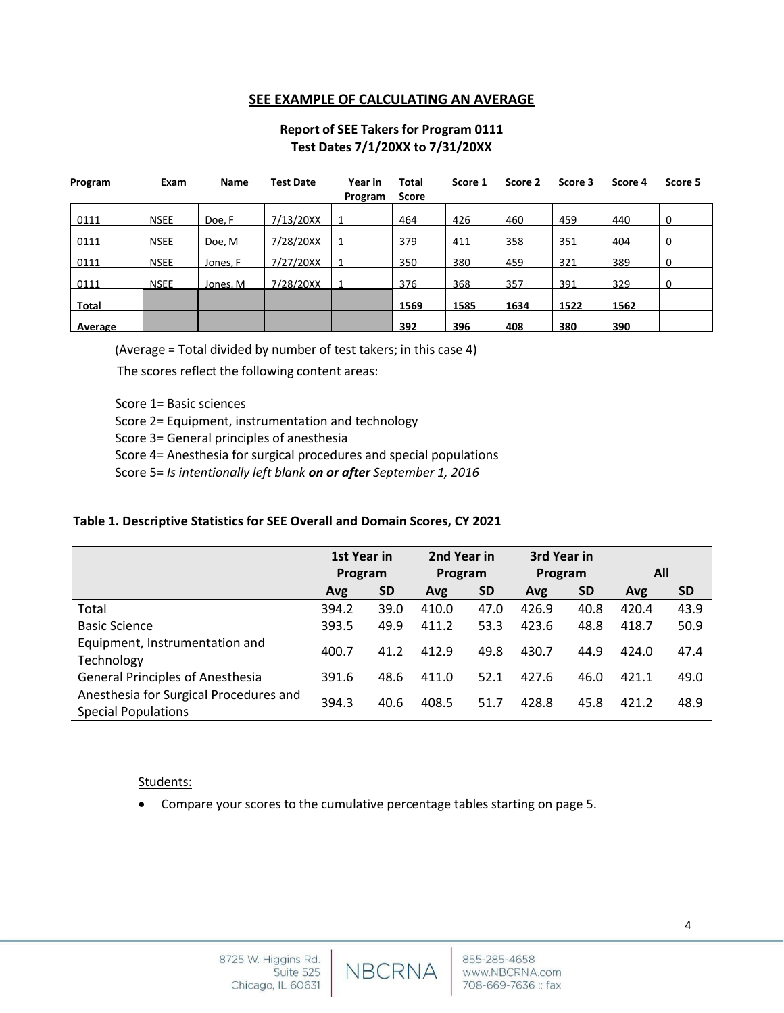## **SEE EXAMPLE OF CALCULATING AN AVERAGE**

# **Report of SEE Takers for Program 0111 Test Dates 7/1/20XX to 7/31/20XX**

| Program | Exam        | Name     | <b>Test Date</b> | Year in<br>Program | <b>Total</b><br><b>Score</b> | Score 1 | Score 2 | Score 3 | Score 4 | Score 5  |
|---------|-------------|----------|------------------|--------------------|------------------------------|---------|---------|---------|---------|----------|
| 0111    | <b>NSEE</b> | Doe, F   | 7/13/20XX        |                    | 464                          | 426     | 460     | 459     | 440     | 0        |
| 0111    | <b>NSEE</b> | Doe. M   | 7/28/20XX        |                    | 379                          | 411     | 358     | 351     | 404     |          |
| 0111    | <b>NSEE</b> | Jones, F | 7/27/20XX        |                    | 350                          | 380     | 459     | 321     | 389     | $\Omega$ |
| 0111    | <b>NSEE</b> | Jones, M | 7/28/20XX        |                    | 376                          | 368     | 357     | 391     | 329     | 0        |
| Total   |             |          |                  |                    | 1569                         | 1585    | 1634    | 1522    | 1562    |          |
| Average |             |          |                  |                    | 392                          | 396     | 408     | 380     | 390     |          |

(Average = Total divided by number of test takers; in this case 4)

The scores reflect the following content areas:

Score 1= Basic sciences

Score 2= Equipment, instrumentation and technology

Score 3= General principles of anesthesia

Score 4= Anesthesia for surgical procedures and special populations

Score 5= *Is intentionally left blank on or after September 1, 2016*

### **Table 1. Descriptive Statistics for SEE Overall and Domain Scores, CY 2021**

|                                                                      | 1st Year in<br>Program |           | 2nd Year in<br>Program |           | 3rd Year in<br>Program |           | All   |           |
|----------------------------------------------------------------------|------------------------|-----------|------------------------|-----------|------------------------|-----------|-------|-----------|
|                                                                      | Avg                    | <b>SD</b> | Avg                    | <b>SD</b> | Avg                    | <b>SD</b> | Avg   | <b>SD</b> |
| Total                                                                | 394.2                  | 39.0      | 410.0                  | 47.0      | 426.9                  | 40.8      | 420.4 | 43.9      |
| <b>Basic Science</b>                                                 | 393.5                  | 49.9      | 411.2                  | 53.3      | 423.6                  | 48.8      | 418.7 | 50.9      |
| Equipment, Instrumentation and<br>Technology                         | 400.7                  | 41.2      | 412.9                  | 49.8      | 430.7                  | 44.9      | 424.0 | 47.4      |
| <b>General Principles of Anesthesia</b>                              | 391.6                  | 48.6      | 411.0                  | 52.1      | 427.6                  | 46.0      | 421.1 | 49.0      |
| Anesthesia for Surgical Procedures and<br><b>Special Populations</b> | 394.3                  | 40.6      | 408.5                  | 51.7      | 428.8                  | 45.8      | 421.2 | 48.9      |

### Students:

• Compare your scores to the cumulative percentage tables starting on page 5.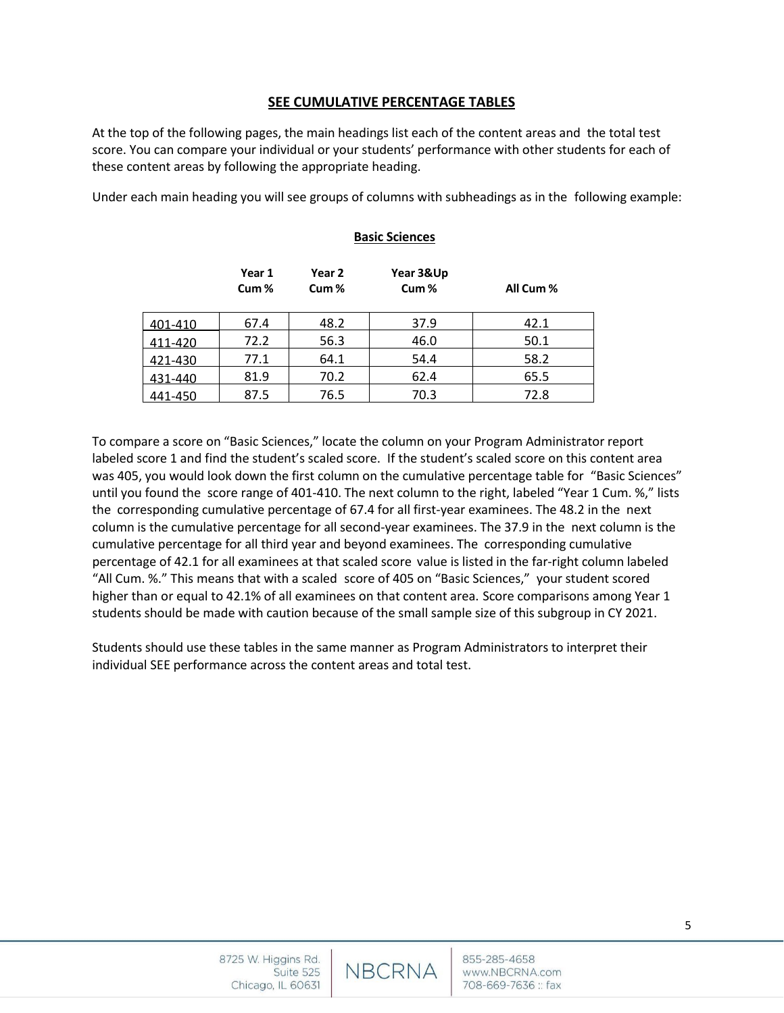## **SEE CUMULATIVE PERCENTAGE TABLES**

At the top of the following pages, the main headings list each of the content areas and the total test score. You can compare your individual or your students' performance with other students for each of these content areas by following the appropriate heading.

Under each main heading you will see groups of columns with subheadings as in the following example:

## **Basic Sciences**

To compare a score on "Basic Sciences," locate the column on your Program Administrator report labeled score 1 and find the student's scaled score. If the student's scaled score on this content area was 405, you would look down the first column on the cumulative percentage table for "Basic Sciences" until you found the score range of 401-410. The next column to the right, labeled "Year 1 Cum. %," lists the corresponding cumulative percentage of 67.4 for all first-year examinees. The 48.2 in the next column is the cumulative percentage for all second-year examinees. The 37.9 in the next column is the cumulative percentage for all third year and beyond examinees. The corresponding cumulative percentage of 42.1 for all examinees at that scaled score value is listed in the far-right column labeled "All Cum. %." This means that with a scaled score of 405 on "Basic Sciences," your student scored higher than or equal to 42.1% of all examinees on that content area. Score comparisons among Year 1 students should be made with caution because of the small sample size of this subgroup in CY 2021.

Students should use these tables in the same manner as Program Administrators to interpret their individual SEE performance across the content areas and total test.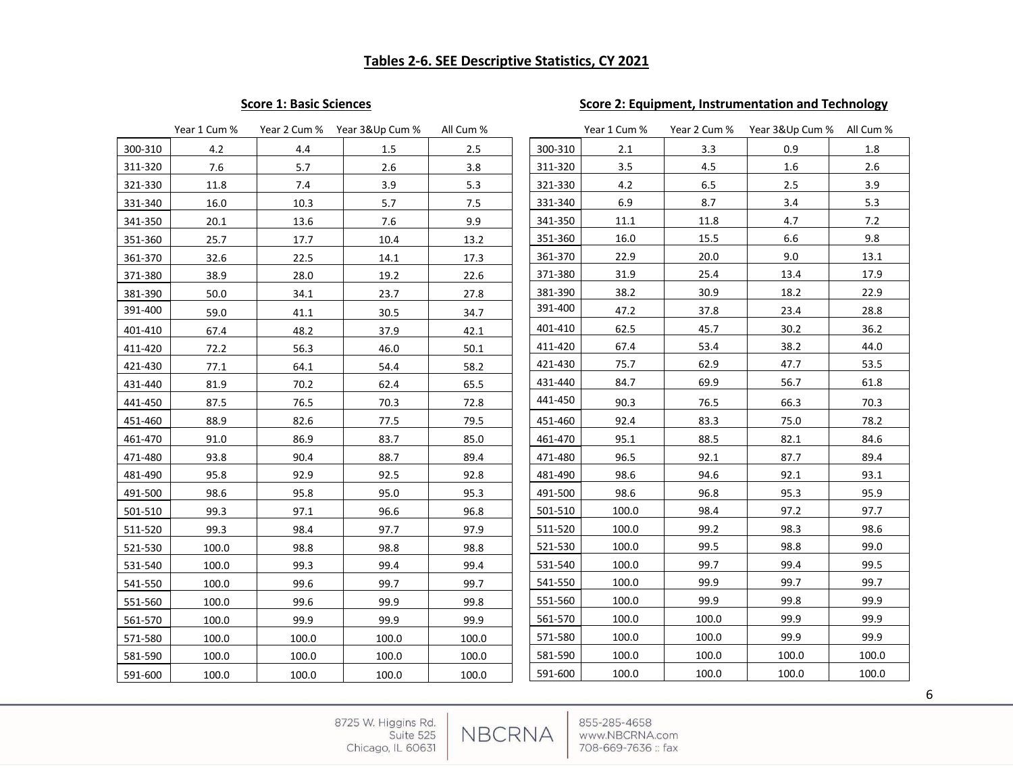# **Score 1: Basic Sciences** Score 2: Equipment, Instrumentation and Technology

|         | Year 1 Cum % |       | Year 2 Cum % Year 3&Up Cum % | All Cum % |         | Year 1 Cum % | Year 2 Cum % | Year 3&Up Cum % All Cum % |       |
|---------|--------------|-------|------------------------------|-----------|---------|--------------|--------------|---------------------------|-------|
| 300-310 | 4.2          | 4.4   | 1.5                          | 2.5       | 300-310 | 2.1          | 3.3          | 0.9                       | 1.8   |
| 311-320 | 7.6          | 5.7   | $2.6\,$                      | 3.8       | 311-320 | 3.5          | 4.5          | $1.6\,$                   | 2.6   |
| 321-330 | 11.8         | 7.4   | 3.9                          | 5.3       | 321-330 | 4.2          | 6.5          | 2.5                       | 3.9   |
| 331-340 | 16.0         | 10.3  | 5.7                          | 7.5       | 331-340 | 6.9          | 8.7          | 3.4                       | 5.3   |
| 341-350 | 20.1         | 13.6  | 7.6                          | 9.9       | 341-350 | 11.1         | 11.8         | 4.7                       | 7.2   |
| 351-360 | 25.7         | 17.7  | 10.4                         | 13.2      | 351-360 | 16.0         | 15.5         | 6.6                       | 9.8   |
| 361-370 | 32.6         | 22.5  | 14.1                         | 17.3      | 361-370 | 22.9         | 20.0         | 9.0                       | 13.1  |
| 371-380 | 38.9         | 28.0  | 19.2                         | 22.6      | 371-380 | 31.9         | 25.4         | 13.4                      | 17.9  |
| 381-390 | 50.0         | 34.1  | 23.7                         | 27.8      | 381-390 | 38.2         | 30.9         | 18.2                      | 22.9  |
| 391-400 | 59.0         | 41.1  | 30.5                         | 34.7      | 391-400 | 47.2         | 37.8         | 23.4                      | 28.8  |
| 401-410 | 67.4         | 48.2  | 37.9                         | 42.1      | 401-410 | 62.5         | 45.7         | 30.2                      | 36.2  |
| 411-420 | 72.2         | 56.3  | 46.0                         | 50.1      | 411-420 | 67.4         | 53.4         | 38.2                      | 44.0  |
| 421-430 | 77.1         | 64.1  | 54.4                         | 58.2      | 421-430 | 75.7         | 62.9         | 47.7                      | 53.5  |
| 431-440 | 81.9         | 70.2  | 62.4                         | 65.5      | 431-440 | 84.7         | 69.9         | 56.7                      | 61.8  |
| 441-450 | 87.5         | 76.5  | 70.3                         | 72.8      | 441-450 | 90.3         | 76.5         | 66.3                      | 70.3  |
| 451-460 | 88.9         | 82.6  | 77.5                         | 79.5      | 451-460 | 92.4         | 83.3         | 75.0                      | 78.2  |
| 461-470 | 91.0         | 86.9  | 83.7                         | 85.0      | 461-470 | 95.1         | 88.5         | 82.1                      | 84.6  |
| 471-480 | 93.8         | 90.4  | 88.7                         | 89.4      | 471-480 | 96.5         | 92.1         | 87.7                      | 89.4  |
| 481-490 | 95.8         | 92.9  | 92.5                         | 92.8      | 481-490 | 98.6         | 94.6         | 92.1                      | 93.1  |
| 491-500 | 98.6         | 95.8  | 95.0                         | 95.3      | 491-500 | 98.6         | 96.8         | 95.3                      | 95.9  |
| 501-510 | 99.3         | 97.1  | 96.6                         | 96.8      | 501-510 | 100.0        | 98.4         | 97.2                      | 97.7  |
| 511-520 | 99.3         | 98.4  | 97.7                         | 97.9      | 511-520 | 100.0        | 99.2         | 98.3                      | 98.6  |
| 521-530 | 100.0        | 98.8  | 98.8                         | 98.8      | 521-530 | 100.0        | 99.5         | 98.8                      | 99.0  |
| 531-540 | 100.0        | 99.3  | 99.4                         | 99.4      | 531-540 | 100.0        | 99.7         | 99.4                      | 99.5  |
| 541-550 | 100.0        | 99.6  | 99.7                         | 99.7      | 541-550 | 100.0        | 99.9         | 99.7                      | 99.7  |
| 551-560 | 100.0        | 99.6  | 99.9                         | 99.8      | 551-560 | 100.0        | 99.9         | 99.8                      | 99.9  |
| 561-570 | 100.0        | 99.9  | 99.9                         | 99.9      | 561-570 | 100.0        | 100.0        | 99.9                      | 99.9  |
| 571-580 | 100.0        | 100.0 | 100.0                        | 100.0     | 571-580 | 100.0        | 100.0        | 99.9                      | 99.9  |
| 581-590 | 100.0        | 100.0 | 100.0                        | 100.0     | 581-590 | 100.0        | 100.0        | 100.0                     | 100.0 |
| 591-600 | 100.0        | 100.0 | 100.0                        | 100.0     | 591-600 | 100.0        | 100.0        | 100.0                     | 100.0 |

NBCRNA

8725 W. Higgins Rd.<br>Suite 525 Chicago, IL 60631

855-285-4658 www.NBCRNA.com 708-669-7636 :: fax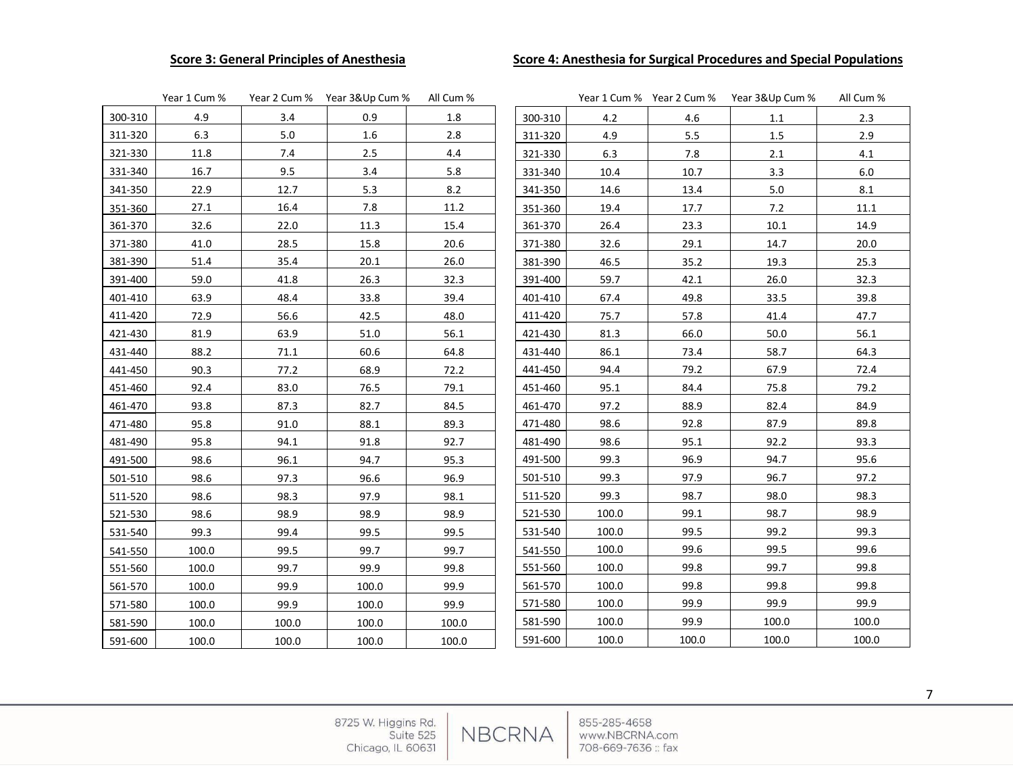## **Score 3: General Principles of Anesthesia Score 4: Anesthesia for Surgical Procedures and Special Populations**

|         | Year 1 Cum % |       | Year 2 Cum % Year 3&Up Cum % | All Cum % |         |       |       | Year 1 Cum % Year 2 Cum % Year 3&Up Cum % | All Cum % |
|---------|--------------|-------|------------------------------|-----------|---------|-------|-------|-------------------------------------------|-----------|
| 300-310 | 4.9          | 3.4   | 0.9                          | 1.8       | 300-310 | 4.2   | 4.6   | 1.1                                       | 2.3       |
| 311-320 | 6.3          | 5.0   | 1.6                          | $2.8\,$   | 311-320 | 4.9   | 5.5   | $1.5\,$                                   | 2.9       |
| 321-330 | 11.8         | 7.4   | 2.5                          | 4.4       | 321-330 | 6.3   | 7.8   | 2.1                                       | 4.1       |
| 331-340 | 16.7         | 9.5   | 3.4                          | 5.8       | 331-340 | 10.4  | 10.7  | 3.3                                       | $6.0\,$   |
| 341-350 | 22.9         | 12.7  | 5.3                          | 8.2       | 341-350 | 14.6  | 13.4  | $5.0\,$                                   | $8.1\,$   |
| 351-360 | 27.1         | 16.4  | 7.8                          | 11.2      | 351-360 | 19.4  | 17.7  | 7.2                                       | 11.1      |
| 361-370 | 32.6         | 22.0  | 11.3                         | 15.4      | 361-370 | 26.4  | 23.3  | 10.1                                      | 14.9      |
| 371-380 | 41.0         | 28.5  | 15.8                         | 20.6      | 371-380 | 32.6  | 29.1  | 14.7                                      | 20.0      |
| 381-390 | 51.4         | 35.4  | 20.1                         | 26.0      | 381-390 | 46.5  | 35.2  | 19.3                                      | 25.3      |
| 391-400 | 59.0         | 41.8  | 26.3                         | 32.3      | 391-400 | 59.7  | 42.1  | 26.0                                      | 32.3      |
| 401-410 | 63.9         | 48.4  | 33.8                         | 39.4      | 401-410 | 67.4  | 49.8  | 33.5                                      | 39.8      |
| 411-420 | 72.9         | 56.6  | 42.5                         | 48.0      | 411-420 | 75.7  | 57.8  | 41.4                                      | 47.7      |
| 421-430 | 81.9         | 63.9  | 51.0                         | 56.1      | 421-430 | 81.3  | 66.0  | 50.0                                      | 56.1      |
| 431-440 | 88.2         | 71.1  | 60.6                         | 64.8      | 431-440 | 86.1  | 73.4  | 58.7                                      | 64.3      |
| 441-450 | 90.3         | 77.2  | 68.9                         | 72.2      | 441-450 | 94.4  | 79.2  | 67.9                                      | 72.4      |
| 451-460 | 92.4         | 83.0  | 76.5                         | 79.1      | 451-460 | 95.1  | 84.4  | 75.8                                      | 79.2      |
| 461-470 | 93.8         | 87.3  | 82.7                         | 84.5      | 461-470 | 97.2  | 88.9  | 82.4                                      | 84.9      |
| 471-480 | 95.8         | 91.0  | 88.1                         | 89.3      | 471-480 | 98.6  | 92.8  | 87.9                                      | 89.8      |
| 481-490 | 95.8         | 94.1  | 91.8                         | 92.7      | 481-490 | 98.6  | 95.1  | 92.2                                      | 93.3      |
| 491-500 | 98.6         | 96.1  | 94.7                         | 95.3      | 491-500 | 99.3  | 96.9  | 94.7                                      | 95.6      |
| 501-510 | 98.6         | 97.3  | 96.6                         | 96.9      | 501-510 | 99.3  | 97.9  | 96.7                                      | 97.2      |
| 511-520 | 98.6         | 98.3  | 97.9                         | 98.1      | 511-520 | 99.3  | 98.7  | 98.0                                      | 98.3      |
| 521-530 | 98.6         | 98.9  | 98.9                         | 98.9      | 521-530 | 100.0 | 99.1  | 98.7                                      | 98.9      |
| 531-540 | 99.3         | 99.4  | 99.5                         | 99.5      | 531-540 | 100.0 | 99.5  | 99.2                                      | 99.3      |
| 541-550 | 100.0        | 99.5  | 99.7                         | 99.7      | 541-550 | 100.0 | 99.6  | 99.5                                      | 99.6      |
| 551-560 | 100.0        | 99.7  | 99.9                         | 99.8      | 551-560 | 100.0 | 99.8  | 99.7                                      | 99.8      |
| 561-570 | 100.0        | 99.9  | 100.0                        | 99.9      | 561-570 | 100.0 | 99.8  | 99.8                                      | 99.8      |
| 571-580 | 100.0        | 99.9  | 100.0                        | 99.9      | 571-580 | 100.0 | 99.9  | 99.9                                      | 99.9      |
| 581-590 | 100.0        | 100.0 | 100.0                        | 100.0     | 581-590 | 100.0 | 99.9  | 100.0                                     | 100.0     |
| 591-600 | 100.0        | 100.0 | 100.0                        | 100.0     | 591-600 | 100.0 | 100.0 | 100.0                                     | 100.0     |

NBCRNA

8725 W. Higgins Rd.<br>Suite 525 Chicago, IL 60631

855-285-4658 www.NBCRNA.com 708-669-7636 :: fax

7